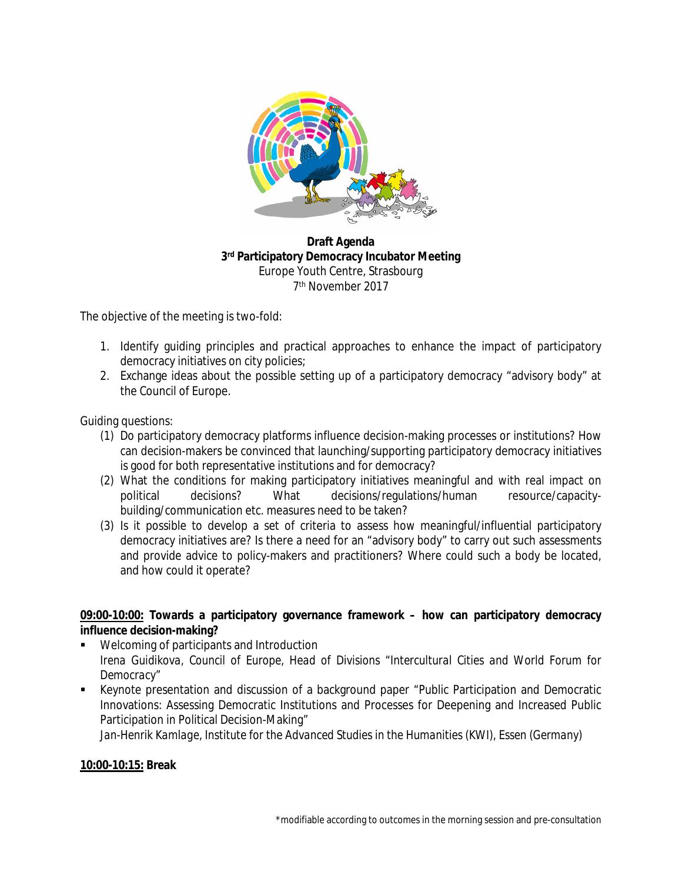

**Draft Agenda 3 rd Participatory Democracy Incubator Meeting**  Europe Youth Centre, Strasbourg 7 th November 2017

The objective of the meeting is two-fold:

- 1. Identify guiding principles and practical approaches to enhance the impact of participatory democracy initiatives on city policies;
- 2. Exchange ideas about the possible setting up of a participatory democracy "advisory body" at the Council of Europe.

Guiding questions:

- (1) Do participatory democracy platforms influence decision-making processes or institutions? How can decision-makers be convinced that launching/supporting participatory democracy initiatives is good for both representative institutions and for democracy?
- (2) What the conditions for making participatory initiatives meaningful and with real impact on political decisions? What decisions/regulations/human resource/capacitybuilding/communication etc. measures need to be taken?
- (3) Is it possible to develop a set of criteria to assess how meaningful/influential participatory democracy initiatives are? Is there a need for an "advisory body" to carry out such assessments and provide advice to policy-makers and practitioners? Where could such a body be located, and how could it operate?

**09:00-10:00: Towards a participatory governance framework – how can participatory democracy influence decision-making?**

- Welcoming of participants and Introduction *Irena Guidikova, Council of Europe, Head of Divisions "Intercultural Cities and World Forum for Democracy"*
- Keynote presentation and discussion of a background paper "Public Participation and Democratic Innovations: Assessing Democratic Institutions and Processes for Deepening and Increased Public Participation in Political Decision-Making"

Jan-Henrik Kamlage, Institute for the Advanced Studies in the Humanities (KWI), Essen (Germany)

**10:00-10:15: Break**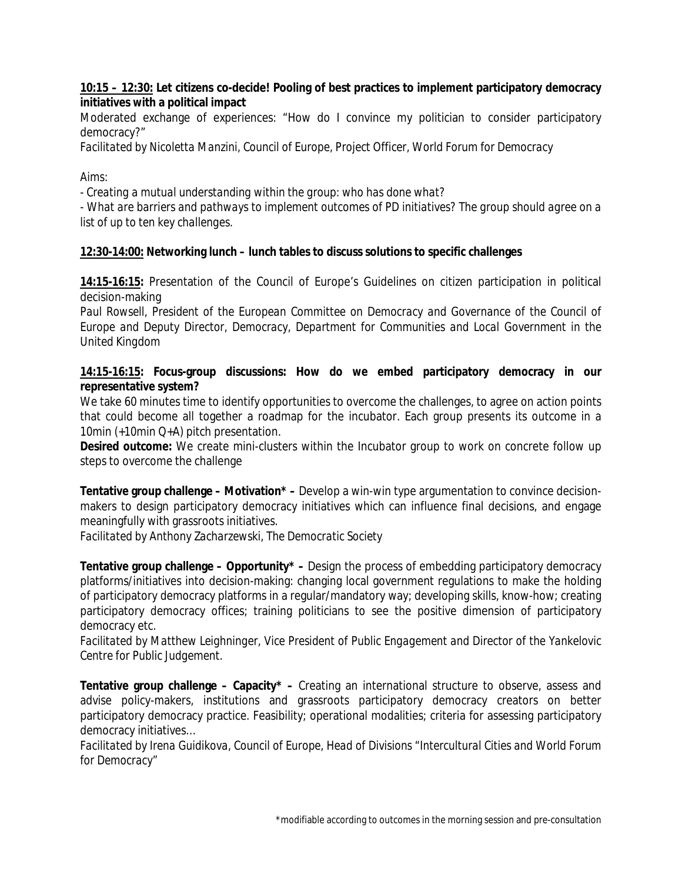**10:15 – 12:30: Let citizens co-decide! Pooling of best practices to implement participatory democracy initiatives with a political impact**

Moderated exchange of experiences: "How do I convince my politician to consider participatory democracy?"

*Facilitated by Nicoletta Manzini, Council of Europe, Project Officer, World Forum for Democracy*

## *Aims:*

*- Creating a mutual understanding within the group: who has done what?*

- *What are barriers and pathways to implement outcomes of PD initiatives? The group should agree on a list of up to ten key challenges.*

**12:30-14:00: Networking lunch – lunch tables to discuss solutions to specific challenges**

**14:15-16:15:** Presentation of the Council of Europe's Guidelines on citizen participation in political decision-making

*Paul Rowsell, President of the European Committee on Democracy and Governance of the Council of Europe and Deputy Director, Democracy, Department for Communities and Local Government in the United Kingdom* 

**14:15-16:15: Focus-group discussions: How do we embed participatory democracy in our representative system?** 

We take 60 minutes time to identify opportunities to overcome the challenges, to agree on action points that could become all together a roadmap for the incubator. Each group presents its outcome in a 10min (+10min Q+A) pitch presentation.

**Desired outcome:** We create mini-clusters within the Incubator group to work on concrete follow up steps to overcome the challenge

**Tentative group challenge – Motivation\* –** Develop a win-win type argumentation to convince decisionmakers to design participatory democracy initiatives which can influence final decisions, and engage meaningfully with grassroots initiatives.

*Facilitated by Anthony Zacharzewski, The Democratic Society*

**Tentative group challenge – Opportunity\* –** Design the process of embedding participatory democracy platforms/initiatives into decision-making: changing local government regulations to make the holding of participatory democracy platforms in a regular/mandatory way; developing skills, know-how; creating participatory democracy offices; training politicians to see the positive dimension of participatory democracy etc.

*Facilitated by Matthew Leighninger, Vice President of Public Engagement and Director of the Yankelovic Centre for Public Judgement.* 

**Tentative group challenge – Capacity\* –** Creating an international structure to observe, assess and advise policy-makers, institutions and grassroots participatory democracy creators on better participatory democracy practice. Feasibility; operational modalities; criteria for assessing participatory democracy initiatives…

*Facilitated by Irena Guidikova, Council of Europe, Head of Divisions "Intercultural Cities and World Forum for Democracy"*